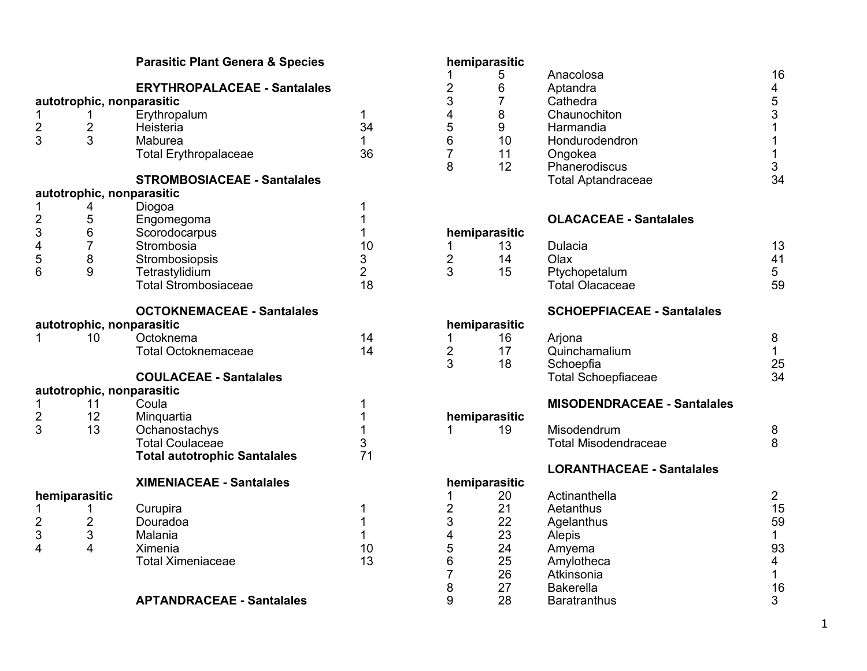|                          |                          | <b>Parasitic Plant Genera &amp; Species</b>                                                                                              |                    |
|--------------------------|--------------------------|------------------------------------------------------------------------------------------------------------------------------------------|--------------------|
| 1<br>$\overline{c}$<br>3 | 1<br>$\overline{2}$<br>3 | <b>ERYTHROPALACEAE - Santalales</b><br>autotrophic, nonparasitic<br>Erythropalum<br>Heisteria<br>Maburea<br><b>Total Erythropalaceae</b> | 1<br>34<br>1<br>36 |
|                          |                          | <b>STROMBOSIACEAE - Santalales</b>                                                                                                       |                    |
|                          |                          | autotrophic, nonparasitic                                                                                                                |                    |
| 1                        | 4                        | Diogoa                                                                                                                                   | 1                  |
| $\overline{c}$           | 5                        | Engomegoma                                                                                                                               | 1                  |
| 3<br>4                   | 6<br>$\overline{7}$      | Scorodocarpus<br>Strombosia                                                                                                              | 1<br>10            |
| 5                        | 8                        | Strombosiopsis                                                                                                                           | 3                  |
| 6                        | 9                        | Tetrastylidium                                                                                                                           | $\overline{2}$     |
|                          |                          | <b>Total Strombosiaceae</b>                                                                                                              | 18                 |
| 1                        | 10                       | <b>OCTOKNEMACEAE - Santalales</b><br>autotrophic, nonparasitic<br>Octoknema<br><b>Total Octoknemaceae</b>                                | 14<br>14           |
|                          |                          | <b>COULACEAE - Santalales</b>                                                                                                            |                    |
|                          |                          | autotrophic, nonparasitic                                                                                                                |                    |
| 1                        | 11                       | Coula                                                                                                                                    | 1                  |
| $\overline{c}$           | 12                       | Minquartia                                                                                                                               | 1                  |
| 3                        | 13                       | Ochanostachys                                                                                                                            | $\mathbf 1$        |
|                          |                          | <b>Total Coulaceae</b><br><b>Total autotrophic Santalales</b>                                                                            | 3<br>71            |
|                          |                          |                                                                                                                                          |                    |
|                          |                          | <b>XIMENIACEAE - Santalales</b>                                                                                                          |                    |
|                          | hemiparasitic            |                                                                                                                                          |                    |
| 1                        | 1                        | Curupira                                                                                                                                 | 1                  |
| $\overline{c}$           | $\overline{\mathbf{c}}$  | Douradoa                                                                                                                                 | 1                  |
| 3<br>4                   | 3<br>4                   | Malania<br>Ximenia                                                                                                                       | 1                  |
|                          |                          | <b>Total Ximeniaceae</b>                                                                                                                 | 10<br>13           |
|                          |                          |                                                                                                                                          |                    |
|                          |                          | <b>APTANDRACEAE - Santalales</b>                                                                                                         |                    |

#### **hemiparasitic**

|   | nvmparasnav |                           |    |
|---|-------------|---------------------------|----|
|   |             | Anacolosa                 | 16 |
| 2 |             | Aptandra                  |    |
| 3 |             | Cathedra                  | 5  |
| 4 |             | Chaunochiton              |    |
| 5 |             | Harmandia                 |    |
| 6 | 10          | Hondurodendron            |    |
| 7 | 11          | Ongokea                   |    |
| 8 | 12          | Phanerodiscus             |    |
|   |             | <b>Total Aptandraceae</b> | 34 |
|   |             |                           |    |

#### **OLACACEAE - Santalales**

|    | hemiparasitic |                        |    |
|----|---------------|------------------------|----|
|    | 13            | Dulacia                | 13 |
| 2  | 14            | Olax                   | 41 |
| ્વ | 15            | Ptychopetalum          | 5  |
|    |               | <b>Total Olacaceae</b> | 59 |
|    |               |                        |    |

### **SCHOEPFIACEAE - Santalales**

| hemiparasitic |                            |    |
|---------------|----------------------------|----|
| 16            | Arjona                     |    |
| 17            | Quinchamalium              |    |
| 18            | Schoepfia                  | 25 |
|               | <b>Total Schoepfiaceae</b> | 34 |

# **MISODENDRACEAE - Santalales**

| hemiparasitic |                      |  |
|---------------|----------------------|--|
| 19.           | Misodendrum          |  |
|               | Total Misodendraceae |  |

## **LORANTHACEAE - Santalales**

**hemiparasitic**

| 1 | 20 | Actinanthella       |    |
|---|----|---------------------|----|
| 2 | 21 | Aetanthus           | 15 |
| 3 | 22 | Agelanthus          | 59 |
| 4 | 23 | Alepis              |    |
| 5 | 24 | Amyema              | 93 |
| 6 | 25 | Amylotheca          |    |
| 7 | 26 | Atkinsonia          |    |
| 8 | 27 | <b>Bakerella</b>    | 16 |
| 9 | 28 | <b>Baratranthus</b> |    |
|   |    |                     |    |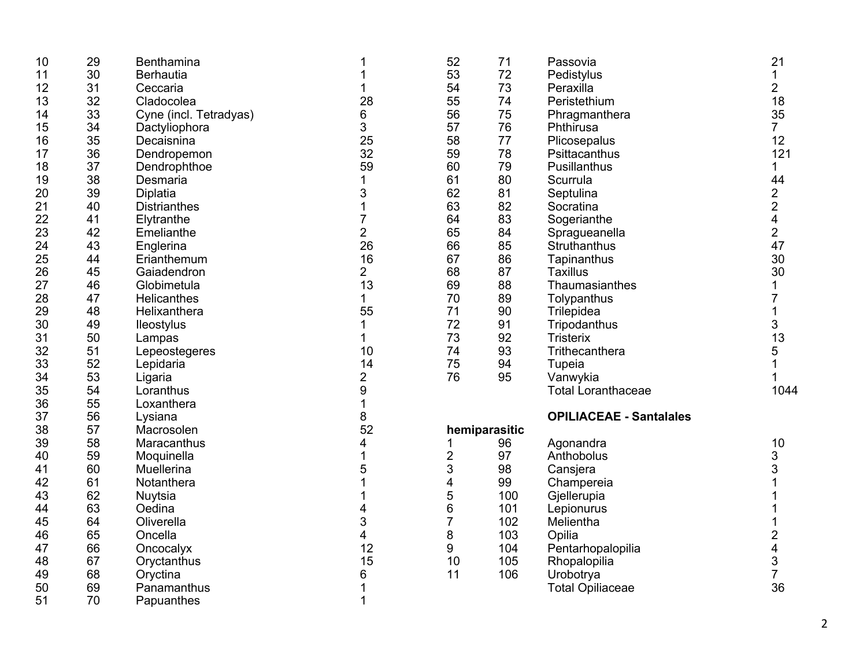| 10 | 29 | Benthamina             |                         | 52             | 71            | Passovia                       | 21                      |
|----|----|------------------------|-------------------------|----------------|---------------|--------------------------------|-------------------------|
| 11 | 30 | <b>Berhautia</b>       |                         | 53             | 72            | Pedistylus                     | $\mathbf{1}$            |
| 12 | 31 | Ceccaria               | 1                       | 54             | 73            | Peraxilla                      | $\overline{2}$          |
| 13 | 32 | Cladocolea             | 28                      | 55             | 74            | Peristethium                   | 18                      |
| 14 | 33 | Cyne (incl. Tetradyas) | 6                       | 56             | 75            | Phragmanthera                  | 35                      |
| 15 | 34 | Dactyliophora          | 3                       | 57             | 76            | Phthirusa                      | $\overline{7}$          |
| 16 | 35 | Decaisnina             | 25                      | 58             | 77            | Plicosepalus                   | 12                      |
| 17 | 36 | Dendropemon            | 32                      | 59             | 78            | Psittacanthus                  | 121                     |
| 18 | 37 | Dendrophthoe           | 59                      | 60             | 79            | Pusillanthus                   | 1                       |
| 19 | 38 | Desmaria               | 1                       | 61             | 80            | Scurrula                       | 44                      |
| 20 | 39 | Diplatia               | 3                       | 62             | 81            | Septulina                      | $\overline{\mathbf{c}}$ |
| 21 | 40 | <b>Distrianthes</b>    | 1                       | 63             | 82            | Socratina                      | $\overline{2}$          |
| 22 | 41 | Elytranthe             | 7                       | 64             | 83            | Sogerianthe                    | 4                       |
| 23 | 42 | Emelianthe             | $\overline{2}$          | 65             | 84            | Spragueanella                  | $\overline{2}$          |
| 24 | 43 | Englerina              | 26                      | 66             | 85            | Struthanthus                   | 47                      |
| 25 | 44 | Erianthemum            | 16                      | 67             | 86            | Tapinanthus                    | 30                      |
| 26 | 45 | Gaiadendron            | $\overline{2}$          | 68             | 87            | <b>Taxillus</b>                | 30                      |
| 27 | 46 | Globimetula            | 13                      | 69             | 88            | Thaumasianthes                 | 1                       |
| 28 | 47 | Helicanthes            | 1                       | 70             | 89            | Tolypanthus                    | $\overline{7}$          |
| 29 | 48 | Helixanthera           | 55                      | 71             | 90            | Trilepidea                     | 1                       |
| 30 | 49 | lleostylus             | 1                       | 72             | 91            | Tripodanthus                   | 3                       |
| 31 | 50 | Lampas                 | 1                       | 73             | 92            | <b>Tristerix</b>               | 13                      |
| 32 | 51 | Lepeostegeres          | 10                      | 74             | 93            | Trithecanthera                 | 5                       |
| 33 | 52 | Lepidaria              | 14                      | 75             | 94            | Tupeia                         | 1                       |
| 34 | 53 | Ligaria                | $\overline{\mathbf{c}}$ | 76             | 95            | Vanwykia                       | 1                       |
| 35 | 54 | Loranthus              | 9                       |                |               | <b>Total Loranthaceae</b>      | 1044                    |
| 36 | 55 | Loxanthera             | 1                       |                |               |                                |                         |
| 37 | 56 | Lysiana                | 8                       |                |               | <b>OPILIACEAE - Santalales</b> |                         |
| 38 | 57 | Macrosolen             | 52                      |                | hemiparasitic |                                |                         |
| 39 | 58 | Maracanthus            | 4                       |                | 96            | Agonandra                      | 10                      |
| 40 | 59 | Moquinella             | 1                       | $\overline{2}$ | 97            | Anthobolus                     | 3                       |
| 41 | 60 | Muellerina             | 5                       | 3              | 98            | Cansjera                       | 3                       |
| 42 | 61 | Notanthera             | 1                       | 4              | 99            | Champereia                     |                         |
| 43 | 62 | Nuytsia                |                         | 5              | 100           | Gjellerupia                    |                         |
| 44 | 63 | Oedina                 | 4                       | $\,6$          | 101           | Lepionurus                     |                         |
| 45 | 64 | Oliverella             | 3                       | $\overline{7}$ | 102           | Melientha                      |                         |
| 46 | 65 | Oncella                | 4                       | 8              | 103           | Opilia                         | $\overline{\mathbf{c}}$ |
| 47 | 66 | Oncocalyx              | 12                      | 9              | 104           | Pentarhopalopilia              |                         |
| 48 | 67 | Oryctanthus            | 15                      | 10             | 105           | Rhopalopilia                   | $\frac{4}{3}$           |
| 49 | 68 | Oryctina               | 6                       | 11             | 106           | Urobotrya                      | $\overline{7}$          |
| 50 | 69 | Panamanthus            |                         |                |               | <b>Total Opiliaceae</b>        | 36                      |
| 51 | 70 | Papuanthes             | 1                       |                |               |                                |                         |
|    |    |                        |                         |                |               |                                |                         |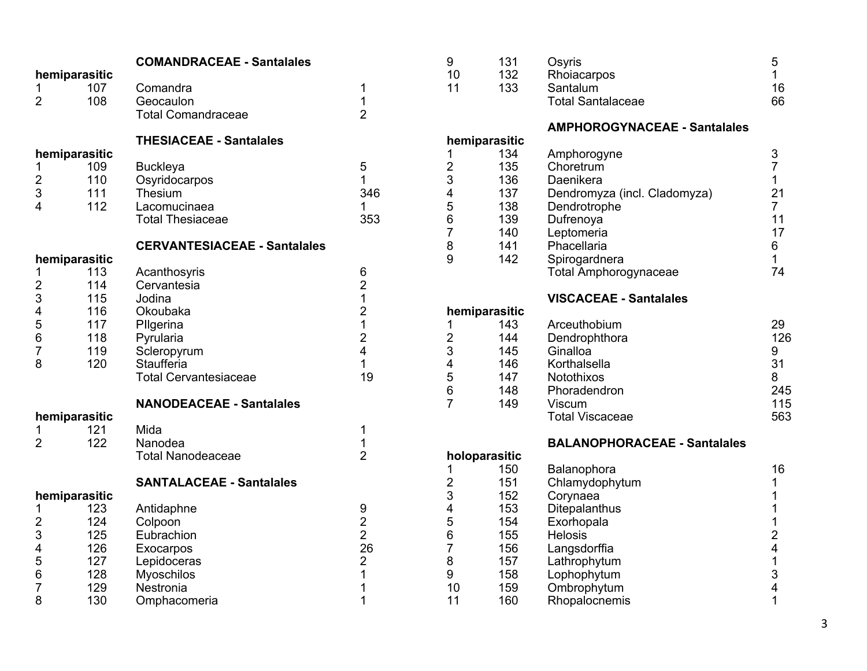|                |               | <b>COMANDRACEAE - Santalales</b>    |                                             |
|----------------|---------------|-------------------------------------|---------------------------------------------|
|                | hemiparasitic |                                     |                                             |
| 1              | 107           | Comandra                            | 1                                           |
| $\overline{2}$ | 108           | Geocaulon                           | 1                                           |
|                |               | <b>Total Comandraceae</b>           | $\overline{2}$                              |
|                |               | <b>THESIACEAE - Santalales</b>      |                                             |
|                | hemiparasitic |                                     |                                             |
| 1              | 109           | <b>Buckleya</b>                     | 5                                           |
| $\overline{2}$ | 110           | Osyridocarpos                       | $\mathbf{1}$                                |
| 3              | 111           | Thesium                             | 346                                         |
| 4              | 112           | Lacomucinaea                        | 1                                           |
|                |               | <b>Total Thesiaceae</b>             | 353                                         |
|                |               |                                     |                                             |
|                |               | <b>CERVANTESIACEAE - Santalales</b> |                                             |
|                | hemiparasitic |                                     |                                             |
| 1              | 113           | Acanthosyris                        | 6                                           |
| $\overline{2}$ | 114           | Cervantesia                         | $\overline{c}$                              |
| 3              | 115           | Jodina                              | $\overline{1}$                              |
| 4              | 116           | Okoubaka                            | $\overline{\mathbf{c}}$                     |
| 5              | 117           | Pllgerina                           | $\mathbf 1$                                 |
| 6              | 118           | Pyrularia                           | $\overline{2}$                              |
| $\overline{7}$ | 119           | Scleropyrum                         | $\overline{\mathbf{4}}$                     |
| 8              | 120           | Staufferia                          | $\mathbf{1}$                                |
|                |               | <b>Total Cervantesiaceae</b>        | 19                                          |
|                |               | <b>NANODEACEAE - Santalales</b>     |                                             |
|                | hemiparasitic |                                     |                                             |
| 1              | 121           | Mida                                | 1                                           |
| $\overline{2}$ | 122           | Nanodea                             | 1                                           |
|                |               | <b>Total Nanodeaceae</b>            | $\overline{2}$                              |
|                |               | <b>SANTALACEAE - Santalales</b>     |                                             |
|                | hemiparasitic |                                     |                                             |
| 1              | 123           | Antidaphne                          | 9                                           |
| $\overline{c}$ | 124           | Colpoon                             |                                             |
| 3              | 125           | Eubrachion                          |                                             |
| 4              | 126           | Exocarpos                           | $\begin{array}{c} 2 \\ 2 \\ 26 \end{array}$ |
| 5              | 127           | Lepidoceras                         | $\overline{2}$                              |
| 6              | 128           | Myoschilos                          | $\mathbf 1$                                 |
| $\overline{7}$ | 129           | Nestronia                           | 1                                           |
| 8              | 130           | Omphacomeria                        | $\mathbf{1}$                                |

| 9<br>10        | 131<br>132 | Osyris<br>Rhoiacarpos               | 5<br>1                  |
|----------------|------------|-------------------------------------|-------------------------|
| 11             | 133        | Santalum                            | 16                      |
|                |            | <b>Total Santalaceae</b>            | 66                      |
|                |            |                                     |                         |
|                |            | <b>AMPHOROGYNACEAE - Santalales</b> |                         |
| hemiparasitic  |            |                                     |                         |
| 1              | 134        | Amphorogyne                         | 3                       |
| $\frac{2}{3}$  | 135        | Choretrum                           | $\overline{7}$          |
|                | 136        | Daenikera                           | $\overline{1}$          |
| 4              | 137        | Dendromyza (incl. Cladomyza)        | 21                      |
| 5              | 138        | Dendrotrophe                        | $\overline{7}$          |
| 6              | 139        | Dufrenoya                           | 11                      |
| $\overline{7}$ | 140        | Leptomeria                          | 17                      |
| 8              | 141        | Phacellaria                         | 6                       |
| 9              | 142        | Spirogardnera                       | 1                       |
|                |            | <b>Total Amphorogynaceae</b>        | 74                      |
|                |            | <b>VISCACEAE - Santalales</b>       |                         |
| hemiparasitic  |            |                                     |                         |
| 1              | 143        | Arceuthobium                        | 29                      |
| $\overline{c}$ | 144        | Dendrophthora                       | 126                     |
| 3              | 145        | Ginalloa                            | 9                       |
| 4              | 146        | Korthalsella                        | 31                      |
| 5              | 147        | Notothixos                          | 8                       |
| 6              | 148        | Phoradendron                        | 245                     |
| $\overline{7}$ | 149        | <b>Viscum</b>                       | 115                     |
|                |            | <b>Total Viscaceae</b>              | 563                     |
|                |            | <b>BALANOPHORACEAE - Santalales</b> |                         |
| holoparasitic  |            |                                     |                         |
| 1              | 150        | Balanophora                         | 16                      |
|                | 151        | Chlamydophytum                      | 1                       |
| $\frac{2}{3}$  | 152        | Corynaea                            | 1                       |
| 4              | 153        | Ditepalanthus                       | 1                       |
| 5              | 154        | Exorhopala                          | $\overline{1}$          |
| 6              | 155        | <b>Helosis</b>                      |                         |
| $\overline{7}$ | 156        | Langsdorffia                        | $\frac{2}{4}$           |
| 8              | 157        | Lathrophytum                        |                         |
| 9              | 158        | Lophophytum                         | $\frac{1}{3}$           |
| 10             | 159        | Ombrophytum                         | $\overline{\mathbf{4}}$ |
| 11             | 160        | Rhopalocnemis                       | 1                       |
|                |            |                                     |                         |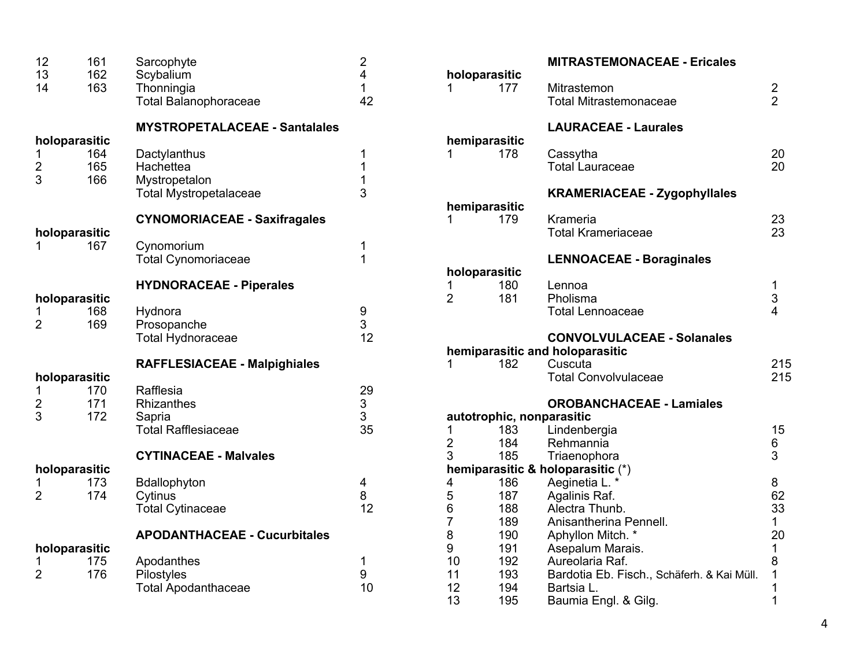| 12<br>13<br>14                            | 161<br>162<br>163 | Sarcophyte<br>Scybalium<br>Thonningia<br><b>Total Balanophoraceae</b>                                               | $\overline{\mathbf{c}}$<br>4<br>$\mathbf{1}$<br>42 |
|-------------------------------------------|-------------------|---------------------------------------------------------------------------------------------------------------------|----------------------------------------------------|
| holoparasitic<br>1<br>$\frac{2}{3}$       | 164<br>165<br>166 | <b>MYSTROPETALACEAE - Santalales</b><br>Dactylanthus<br>Hachettea<br>Mystropetalon<br><b>Total Mystropetalaceae</b> | 1<br>1<br>$\mathbf{1}$<br>3                        |
| holoparasitic<br>1                        | 167               | <b>CYNOMORIACEAE - Saxifragales</b><br>Cynomorium<br><b>Total Cynomoriaceae</b>                                     | 1<br>1                                             |
| holoparasitic<br>$\overline{2}$           | 168<br>169        | <b>HYDNORACEAE - Piperales</b><br>Hydnora<br>Prosopanche<br><b>Total Hydnoraceae</b>                                | 9<br>3<br>12                                       |
| holoparasitic<br>1<br>$\overline{c}$<br>3 | 170<br>171<br>172 | <b>RAFFLESIACEAE - Malpighiales</b><br>Rafflesia<br>Rhizanthes<br>Sapria<br><b>Total Rafflesiaceae</b>              | 29<br>3<br>3<br>35                                 |
| holoparasitic<br>1<br>$\overline{2}$      | 173<br>174        | <b>CYTINACEAE - Malvales</b><br>Bdallophyton<br>Cytinus<br><b>Total Cytinaceae</b>                                  | 4<br>8<br>12                                       |
| holoparasitic<br>1<br>$\overline{2}$      | 175<br>176        | <b>APODANTHACEAE - Cucurbitales</b><br>Apodanthes<br>Pilostyles<br><b>Total Apodanthaceae</b>                       | 1<br>9<br>10                                       |

| holoparasitic                        |            | <b>MITRASTEMONACEAE - Ericales</b>                                   |             |  |
|--------------------------------------|------------|----------------------------------------------------------------------|-------------|--|
| 177<br>1                             |            | Mitrastemon<br><b>Total Mitrastemonaceae</b>                         |             |  |
| hemiparasitic                        |            | <b>LAURACEAE - Laurales</b>                                          |             |  |
| 1                                    | 178        | Cassytha<br><b>Total Lauraceae</b>                                   | 20<br>20    |  |
|                                      |            | <b>KRAMERIACEAE - Zygophyllales</b>                                  |             |  |
| hemiparasitic<br>1                   | 179        | Krameria<br><b>Total Krameriaceae</b>                                | 23<br>23    |  |
|                                      |            | <b>LENNOACEAE - Boraginales</b>                                      |             |  |
| holoparasitic<br>1<br>$\overline{2}$ | 180<br>181 | Lennoa<br>Pholisma<br><b>Total Lennoaceae</b>                        | 1<br>3<br>4 |  |
|                                      |            | <b>CONVOLVULACEAE - Solanales</b><br>hemiparasitic and holoparasitic |             |  |
| 1                                    | 182        | Cuscuta<br><b>Total Convolvulaceae</b>                               | 215<br>215  |  |
|                                      |            | <b>OROBANCHACEAE - Lamiales</b>                                      |             |  |
| autotrophic, nonparasitic            |            |                                                                      |             |  |
| 1                                    | 183        | Lindenbergia                                                         | 15          |  |
| 2<br>3                               | 184        | Rehmannia                                                            | 6<br>3      |  |
|                                      | 185        | Triaenophora<br>hemiparasitic & holoparasitic (*)                    |             |  |
| 4                                    | 186        | Aeginetia L. *                                                       | 8           |  |
| 5                                    | 187        | Agalinis Raf.                                                        | 62          |  |
| 6                                    | 188        | Alectra Thunb.                                                       | 33          |  |
| 7                                    | 189        | Anisantherina Pennell.                                               | 1           |  |
| 8                                    | 190        | Aphyllon Mitch. *                                                    | 20          |  |
| 9                                    | 191        | Asepalum Marais.                                                     | 1           |  |
| 10                                   | 192        | Aureolaria Raf.                                                      | 8           |  |
| 11                                   | 193        | Bardotia Eb. Fisch., Schäferh. & Kai Müll.                           | 1           |  |
| 12                                   | 194        | Bartsia L.                                                           | 1           |  |
| 13                                   | 195        | Baumia Engl. & Gilg.                                                 | 1           |  |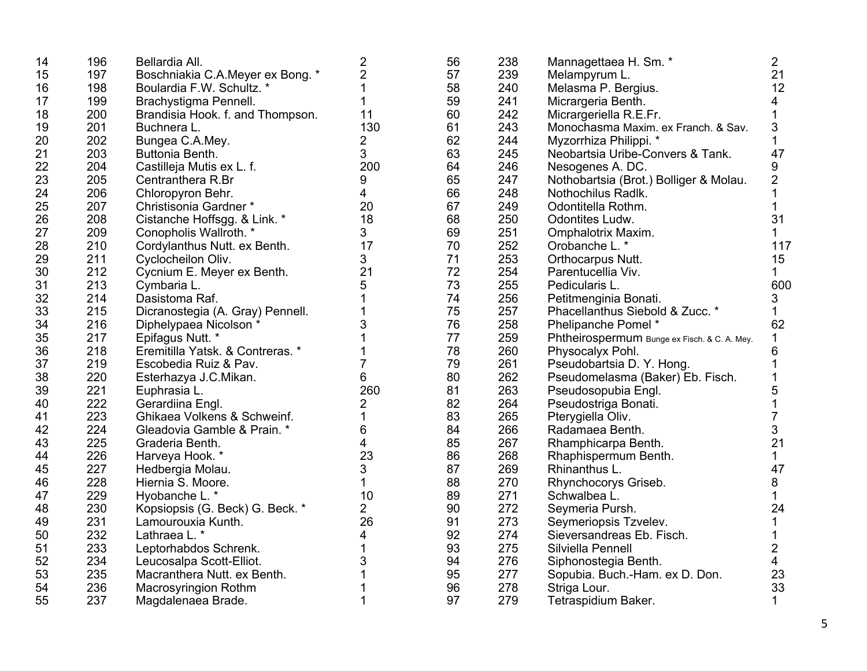| 14 | 196 | Bellardia All.                   | 2              | 56 | 238 | Mannagettaea H. Sm. *                        | 2              |
|----|-----|----------------------------------|----------------|----|-----|----------------------------------------------|----------------|
| 15 | 197 | Boschniakia C.A.Meyer ex Bong. * | 2              | 57 | 239 | Melampyrum L.                                | 21             |
| 16 | 198 | Boulardia F.W. Schultz. *        | 1              | 58 | 240 | Melasma P. Bergius.                          | 12             |
| 17 | 199 | Brachystigma Pennell.            |                | 59 | 241 | Micrargeria Benth.                           | 4              |
| 18 | 200 | Brandisia Hook. f. and Thompson. | 11             | 60 | 242 | Micrargeriella R.E.Fr.                       | $\mathbf{1}$   |
| 19 | 201 | Buchnera L.                      | 130            | 61 | 243 | Monochasma Maxim. ex Franch. & Sav.          | 3              |
| 20 | 202 | Bungea C.A.Mey.                  | 2              | 62 | 244 | Myzorrhiza Philippi. *                       | 1              |
| 21 | 203 | Buttonia Benth.                  | 3              | 63 | 245 | Neobartsia Uribe-Convers & Tank.             | 47             |
| 22 | 204 | Castilleja Mutis ex L. f.        | 200            | 64 | 246 | Nesogenes A. DC.                             | 9              |
| 23 | 205 | Centranthera R.Br                | 9              | 65 | 247 | Nothobartsia (Brot.) Bolliger & Molau.       | $\overline{2}$ |
| 24 | 206 | Chloropyron Behr.                | 4              | 66 | 248 | Nothochilus Radlk.                           |                |
| 25 | 207 | Christisonia Gardner*            | 20             | 67 | 249 | Odontitella Rothm.                           | 1              |
| 26 | 208 | Cistanche Hoffsgg. & Link. *     | 18             | 68 | 250 | Odontites Ludw.                              | 31             |
| 27 | 209 | Conopholis Wallroth. *           | 3              | 69 | 251 | Omphalotrix Maxim.                           | 1.             |
| 28 | 210 | Cordylanthus Nutt. ex Benth.     | 17             | 70 | 252 | Orobanche L. *                               | 117            |
| 29 | 211 | Cyclocheilon Oliv.               | 3              | 71 | 253 | Orthocarpus Nutt.                            | 15             |
| 30 | 212 | Cycnium E. Meyer ex Benth.       | 21             | 72 | 254 | Parentucellia Viv.                           | $\mathbf 1$    |
| 31 | 213 | Cymbaria L.                      | 5              | 73 | 255 | Pedicularis L.                               | 600            |
| 32 | 214 | Dasistoma Raf.                   |                | 74 | 256 | Petitmenginia Bonati.                        | 3              |
| 33 | 215 | Dicranostegia (A. Gray) Pennell. |                | 75 | 257 | Phacellanthus Siebold & Zucc. *              | $\mathbf{1}$   |
| 34 | 216 | Diphelypaea Nicolson *           | 3              | 76 | 258 | Phelipanche Pomel *                          | 62             |
| 35 | 217 | Epifagus Nutt. *                 |                | 77 | 259 | Phtheirospermum Bunge ex Fisch. & C. A. Mey. | $\mathbf 1$    |
| 36 | 218 | Eremitilla Yatsk. & Contreras. * |                | 78 | 260 | Physocalyx Pohl.                             | 6              |
| 37 | 219 | Escobedia Ruiz & Pav.            |                | 79 | 261 | Pseudobartsia D. Y. Hong.                    | 1              |
| 38 | 220 | Esterhazya J.C.Mikan.            | 6              | 80 | 262 | Pseudomelasma (Baker) Eb. Fisch.             | $\mathbf{1}$   |
| 39 | 221 | Euphrasia L.                     | 260            | 81 | 263 | Pseudosopubia Engl.                          | 5              |
| 40 | 222 | Gerardiina Engl.                 | 2              | 82 | 264 | Pseudostriga Bonati.                         | 1              |
| 41 | 223 | Ghikaea Volkens & Schweinf.      | 1              | 83 | 265 | Pterygiella Oliv.                            | 7              |
| 42 | 224 | Gleadovia Gamble & Prain. *      | 6              | 84 | 266 | Radamaea Benth.                              | 3              |
| 43 | 225 | Graderia Benth.                  | 4              | 85 | 267 | Rhamphicarpa Benth.                          | 21             |
| 44 | 226 | Harveya Hook. *                  | 23             | 86 | 268 | Rhaphispermum Benth.                         | 1.             |
| 45 | 227 | Hedbergia Molau.                 | 3              | 87 | 269 | Rhinanthus L.                                | 47             |
| 46 | 228 | Hiernia S. Moore.                |                | 88 | 270 | Rhynchocorys Griseb.                         | 8              |
| 47 | 229 | Hyobanche L. *                   | 10             | 89 | 271 | Schwalbea L.                                 | $\mathbf 1$    |
| 48 | 230 | Kopsiopsis (G. Beck) G. Beck. *  | $\overline{2}$ | 90 | 272 | Seymeria Pursh.                              | 24             |
| 49 | 231 | Lamourouxia Kunth.               | 26             | 91 | 273 | Seymeriopsis Tzvelev.                        | 1              |
| 50 | 232 | Lathraea L. *                    | 4              | 92 | 274 | Sieversandreas Eb. Fisch.                    | 1              |
| 51 | 233 | Leptorhabdos Schrenk.            |                | 93 | 275 | Silviella Pennell                            | $\overline{2}$ |
| 52 | 234 | Leucosalpa Scott-Elliot.         | 3              | 94 | 276 | Siphonostegia Benth.                         | 4              |
| 53 | 235 | Macranthera Nutt. ex Benth.      |                | 95 | 277 | Sopubia. Buch.-Ham. ex D. Don.               | 23             |
| 54 | 236 | Macrosyringion Rothm             |                | 96 | 278 | Striga Lour.                                 | 33             |
| 55 | 237 | Magdalenaea Brade.               | 1              | 97 | 279 | Tetraspidium Baker.                          | $\mathbf{1}$   |